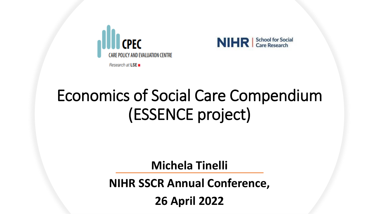



# Economics of Social Care Compendium (ESSENCE project)

**Michela Tinelli**

**NIHR SSCR Annual Conference,** 

**26 April 2022**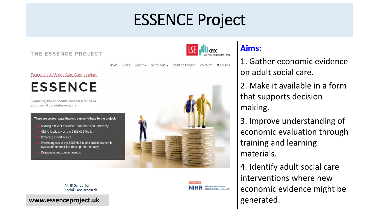## ESSENCE Project

THE ESSENCE PROJECT

HOME

**NEWS** 



CONTACT

**Q** SEARCH

#### **Aims:**

1. Gather economic evidence on adult social care.

2. Make it available in a form that supports decision making.

3. Improve understanding of economic evaluation through training and learning materials.

4. Identify adult social care interventions where new economic evidence might be generated.

**Economics of Social Care Compendium** 

**ESSENCE** 

Examining the economic case for a range of adult social care interventions

#### There are several ways that you can contribute to the project:

- Sharing relevant research published and underway
- Giving feedback on the ESSENCE Toolkit
- Providing expert advice
- Promoting use of the ESSENCE toolkit and of economic evaluation for decision-making more broadly
- Organising new training events



ABOUT . WHO's WHO . ESSENCE TOOLKIT

#### **NIHR School for** Social Care Research



**www.essenceproject.uk**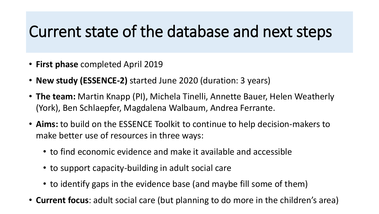## Current state of the database and next steps

- **First phase** completed April 2019
- **New study (ESSENCE-2)** started June 2020 (duration: 3 years)
- **The team:** Martin Knapp (PI), Michela Tinelli, Annette Bauer, Helen Weatherly (York), Ben Schlaepfer, Magdalena Walbaum, Andrea Ferrante.
- **Aims:** to build on the ESSENCE Toolkit to continue to help decision-makers to make better use of resources in three ways:
	- to find economic evidence and make it available and accessible
	- to support capacity-building in adult social care
	- to identify gaps in the evidence base (and maybe fill some of them)
- **Current focus**: adult social care (but planning to do more in the children's area)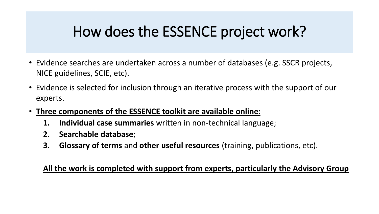### How does the ESSENCE project work?

- Evidence searches are undertaken across a number of databases (e.g. SSCR projects, NICE guidelines, SCIE, etc).
- Evidence is selected for inclusion through an iterative process with the support of our experts.
- **Three components of the ESSENCE toolkit are available online:**
	- **1. Individual case summaries** written in non-technical language;
	- **2. Searchable database**;
	- **3. Glossary of terms** and **other useful resources** (training, publications, etc).

#### **All the work is completed with support from experts, particularly the Advisory Group**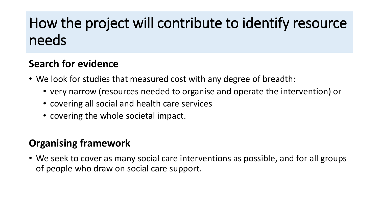### How the project will contribute to identify resource needs

#### **Search for evidence**

- We look for studies that measured cost with any degree of breadth:
	- very narrow (resources needed to organise and operate the intervention) or
	- covering all social and health care services
	- covering the whole societal impact.

#### **Organising framework**

• We seek to cover as many social care interventions as possible, and for all groups of people who draw on social care support.